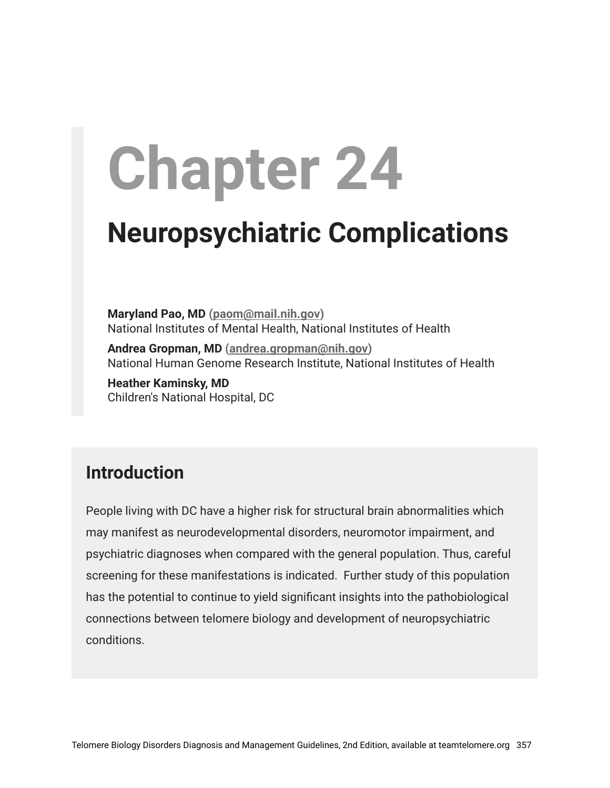# **Chapter 24**

# **Neuropsychiatric Complications**

**Maryland Pao, MD ([paom@mail.nih.gov](mailto:paom@mail.nih.gov))** National Institutes of Mental Health, National Institutes of Health

**Andrea Gropman, MD [\(andrea.gropman@nih.gov\)](mailto:andrea.gropman@nih.gov)** National Human Genome Research Institute, National Institutes of Health

**Heather Kaminsky, MD** Children's National Hospital, DC

## **Introduction**

People living with DC have a higher risk for structural brain abnormalities which may manifest as neurodevelopmental disorders, neuromotor impairment, and psychiatric diagnoses when compared with the general population. Thus, careful screening for these manifestations is indicated. Further study of this population has the potential to continue to yield significant insights into the pathobiological connections between telomere biology and development of neuropsychiatric conditions.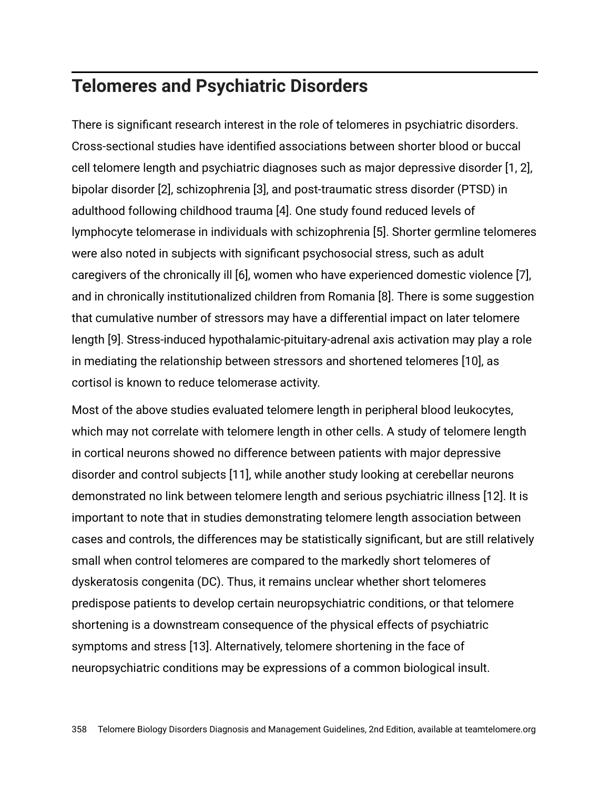#### **Telomeres and Psychiatric Disorders**

There is significant research interest in the role of telomeres in psychiatric disorders. Cross-sectional studies have identified associations between shorter blood or buccal cell telomere length and psychiatric diagnoses such as major depressive disorder [1, 2], bipolar disorder [2], schizophrenia [3], and post-traumatic stress disorder (PTSD) in adulthood following childhood trauma [4]. One study found reduced levels of lymphocyte telomerase in individuals with schizophrenia [5]. Shorter germline telomeres were also noted in subjects with significant psychosocial stress, such as adult caregivers of the chronically ill [6], women who have experienced domestic violence [7], and in chronically institutionalized children from Romania [8]. There is some suggestion that cumulative number of stressors may have a differential impact on later telomere length [9]. Stress-induced hypothalamic-pituitary-adrenal axis activation may play a role in mediating the relationship between stressors and shortened telomeres [10], as cortisol is known to reduce telomerase activity.

Most of the above studies evaluated telomere length in peripheral blood leukocytes, which may not correlate with telomere length in other cells. A study of telomere length in cortical neurons showed no difference between patients with major depressive disorder and control subjects [11], while another study looking at cerebellar neurons demonstrated no link between telomere length and serious psychiatric illness [12]. It is important to note that in studies demonstrating telomere length association between cases and controls, the differences may be statistically significant, but are still relatively small when control telomeres are compared to the markedly short telomeres of dyskeratosis congenita (DC). Thus, it remains unclear whether short telomeres predispose patients to develop certain neuropsychiatric conditions, or that telomere shortening is a downstream consequence of the physical effects of psychiatric symptoms and stress [13]. Alternatively, telomere shortening in the face of neuropsychiatric conditions may be expressions of a common biological insult.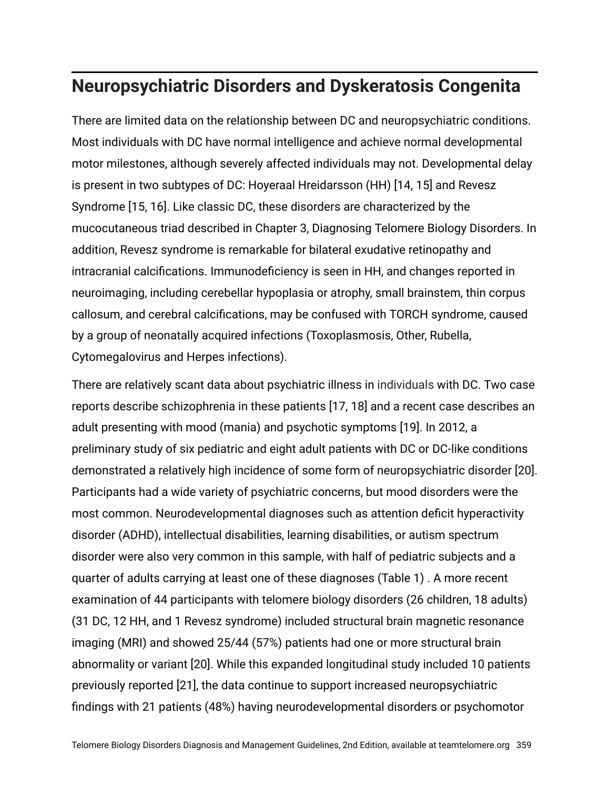### **Neuropsychiatric Disorders and Dyskeratosis Congenita**

There are limited data on the relationship between DC and neuropsychiatric conditions. Most individuals with DC have normal intelligence and achieve normal developmental motor milestones, although severely affected individuals may not. Developmental delay is present in two subtypes of DC: Hoyeraal Hreidarsson (HH) [14, 15] and Revesz Syndrome [15, 16]. Like classic DC, these disorders are characterized by the mucocutaneous triad described in Chapter 3, Diagnosing Telomere Biology Disorders. In addition, Revesz syndrome is remarkable for bilateral exudative retinopathy and intracranial calcifications. Immunodeficiency is seen in HH, and changes reported in neuroimaging, including cerebellar hypoplasia or atrophy, small brainstem, thin corpus callosum, and cerebral calcifications, may be confused with TORCH syndrome, caused by a group of neonatally acquired infections (Toxoplasmosis, Other, Rubella, Cytomegalovirus and Herpes infections).

There are relatively scant data about psychiatric illness in individuals with DC. Two case reports describe schizophrenia in these patients [17, 18] and a recent case describes an adult presenting with mood (mania) and psychotic symptoms [19]. In 2012, a preliminary study of six pediatric and eight adult patients with DC or DC-like conditions demonstrated a relatively high incidence of some form of neuropsychiatric disorder [20]. Participants had a wide variety of psychiatric concerns, but mood disorders were the most common. Neurodevelopmental diagnoses such as attention deficit hyperactivity disorder (ADHD), intellectual disabilities, learning disabilities, or autism spectrum disorder were also very common in this sample, with half of pediatric subjects and a quarter of adults carrying at least one of these diagnoses (Table 1) . A more recent examination of 44 participants with telomere biology disorders (26 children, 18 adults) (31 DC, 12 HH, and 1 Revesz syndrome) included structural brain magnetic resonance imaging (MRI) and showed 25/44 (57%) patients had one or more structural brain abnormality or variant [20]. While this expanded longitudinal study included 10 patients previously reported [21], the data continue to support increased neuropsychiatric findings with 21 patients (48%) having neurodevelopmental disorders or psychomotor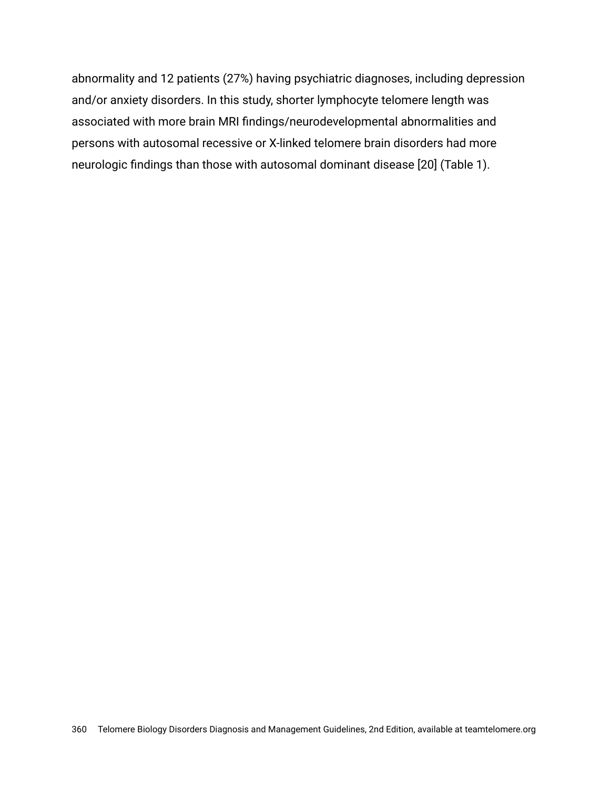abnormality and 12 patients (27%) having psychiatric diagnoses, including depression and/or anxiety disorders. In this study, shorter lymphocyte telomere length was associated with more brain MRI findings/neurodevelopmental abnormalities and persons with autosomal recessive or X-linked telomere brain disorders had more neurologic findings than those with autosomal dominant disease [20] (Table 1).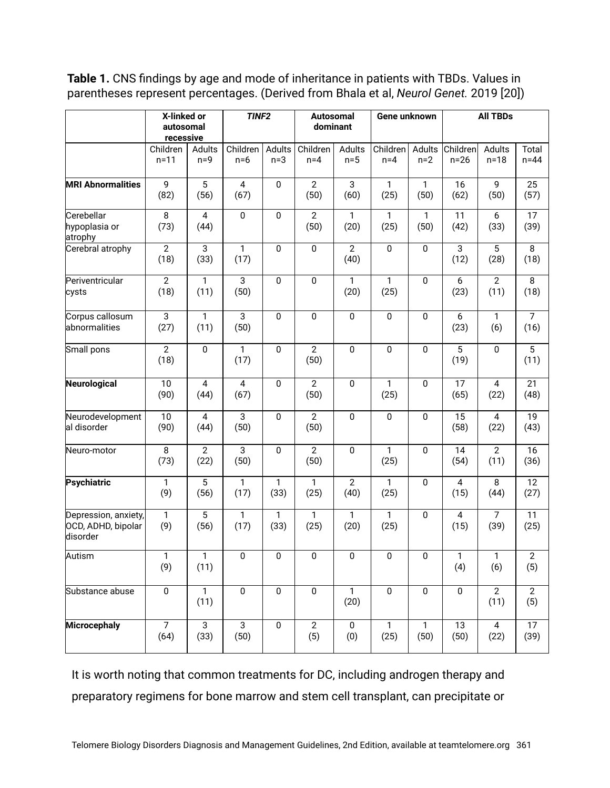**Table 1.** CNS findings by age and mode of inheritance in patients with TBDs. Values in parentheses represent percentages. (Derived from Bhala et al, *Neurol Genet.* 2019 [20])

|                                                        | X-linked or<br>autosomal<br>recessive |                        | TINF <sub>2</sub>      |                      | <b>Autosomal</b><br>dominant |                        | Gene unknown         |                      | <b>All TBDs</b>         |                        |                         |
|--------------------------------------------------------|---------------------------------------|------------------------|------------------------|----------------------|------------------------------|------------------------|----------------------|----------------------|-------------------------|------------------------|-------------------------|
|                                                        | Children<br>$n = 11$                  | Adults<br>$n=9$        | Children<br>$n=6$      | Adults<br>$n=3$      | Children<br>$n=4$            | Adults<br>$n=5$        | Children<br>$n=4$    | Adults<br>$n=2$      | Children<br>$n=26$      | Adults<br>$n = 18$     | Total<br>$n=44$         |
| <b>MRI Abnormalities</b>                               | 9<br>(82)                             | 5<br>(56)              | $\overline{4}$<br>(67) | $\mathbf 0$          | $\overline{2}$<br>(50)       | 3<br>(60)              | $\mathbf{1}$<br>(25) | $\mathbf{1}$<br>(50) | 16<br>(62)              | 9<br>(50)              | 25<br>(57)              |
| Cerebellar<br>hypoplasia or<br>atrophy                 | 8<br>(73)                             | 4<br>(44)              | $\mathbf 0$            | 0                    | $\mathbf{2}$<br>(50)         | 1<br>(20)              | 1<br>(25)            | 1<br>(50)            | 11<br>(42)              | 6<br>(33)              | 17<br>(39)              |
| Cerebral atrophy                                       | $\overline{2}$<br>(18)                | $\overline{3}$<br>(33) | $\mathbf{1}$<br>(17)   | $\mathbf 0$          | $\mathbf 0$                  | $\overline{2}$<br>(40) | 0                    | $\pmb{0}$            | $\overline{3}$<br>(12)  | 5<br>(28)              | 8<br>(18)               |
| Periventricular<br>cysts                               | $\overline{2}$<br>(18)                | $\mathbf{1}$<br>(11)   | $\overline{3}$<br>(50) | 0                    | $\mathbf 0$                  | 1<br>(20)              | 1<br>(25)            | $\mathbf 0$          | 6<br>(23)               | $\overline{2}$<br>(11) | 8<br>(18)               |
| Corpus callosum<br>abnormalities                       | 3<br>(27)                             | 1<br>(11)              | $\overline{3}$<br>(50) | 0                    | $\mathbf 0$                  | 0                      | 0                    | $\pmb{0}$            | 6<br>(23)               | 1<br>(6)               | $\overline{7}$<br>(16)  |
| Small pons                                             | $\overline{2}$<br>(18)                | $\boldsymbol{0}$       | $\mathbf{1}$<br>(17)   | $\mathbf 0$          | $\overline{2}$<br>(50)       | 0                      | 0                    | $\mathbf 0$          | $\overline{5}$<br>(19)  | $\mathbf 0$            | $\overline{5}$<br>(11)  |
| Neurological                                           | 10<br>(90)                            | $\overline{4}$<br>(44) | $\overline{4}$<br>(67) | $\pmb{0}$            | $\overline{2}$<br>(50)       | 0                      | 1<br>(25)            | $\pmb{0}$            | 17<br>(65)              | $\overline{4}$<br>(22) | $\overline{21}$<br>(48) |
| Neurodevelopment<br>al disorder                        | $\overline{10}$<br>(90)               | $\overline{4}$<br>(44) | $\overline{3}$<br>(50) | $\pmb{0}$            | $\overline{2}$<br>(50)       | $\pmb{0}$              | $\overline{0}$       | $\overline{0}$       | $\overline{15}$<br>(58) | $\overline{4}$<br>(22) | 19<br>(43)              |
| Neuro-motor                                            | 8<br>(73)                             | $\overline{2}$<br>(22) | 3<br>(50)              | $\pmb{0}$            | $\overline{2}$<br>(50)       | 0                      | 1<br>(25)            | $\mathbf 0$          | 14<br>(54)              | $\overline{2}$<br>(11) | 16<br>(36)              |
| Psychiatric                                            | $\mathbf{1}$<br>(9)                   | 5<br>(56)              | $\overline{1}$<br>(17) | 1<br>(33)            | $\mathbf{1}$<br>(25)         | $\overline{2}$<br>(40) | 1<br>(25)            | $\pmb{0}$            | $\overline{4}$<br>(15)  | 8<br>(44)              | 12<br>(27)              |
| Depression, anxiety,<br>OCD, ADHD, bipolar<br>disorder | $\mathbf{1}$<br>(9)                   | 5<br>(56)              | $\mathbf{1}$<br>(17)   | $\mathbf{1}$<br>(33) | $\mathbf{1}$<br>(25)         | $\mathbf{1}$<br>(20)   | $\mathbf{1}$<br>(25) | $\mathbf 0$          | $\overline{4}$<br>(15)  | $\overline{7}$<br>(39) | 11<br>(25)              |
| Autism                                                 | 1<br>(9)                              | 1<br>(11)              | 0                      | 0                    | 0                            | 0                      | 0                    | 0                    | 1<br>(4)                | 1<br>(6)               | 2<br>(5)                |
| Substance abuse                                        | $\overline{0}$                        | $\mathbf{1}$<br>(11)   | $\pmb{0}$              | $\pmb{0}$            | $\pmb{0}$                    | 1<br>(20)              | $\pmb{0}$            | $\pmb{0}$            | $\boldsymbol{0}$        | $\overline{2}$<br>(11) | $\overline{2}$<br>(5)   |
| <b>Microcephaly</b>                                    | $\overline{7}$<br>(64)                | $\overline{3}$<br>(33) | $\overline{3}$<br>(50) | 0                    | $\overline{2}$<br>(5)        | $\pmb{0}$<br>(0)       | 1<br>(25)            | $\mathbf{1}$<br>(50) | 13<br>(50)              | $\overline{4}$<br>(22) | 17<br>(39)              |

It is worth noting that common treatments for DC, including androgen therapy and preparatory regimens for bone marrow and stem cell transplant, can precipitate or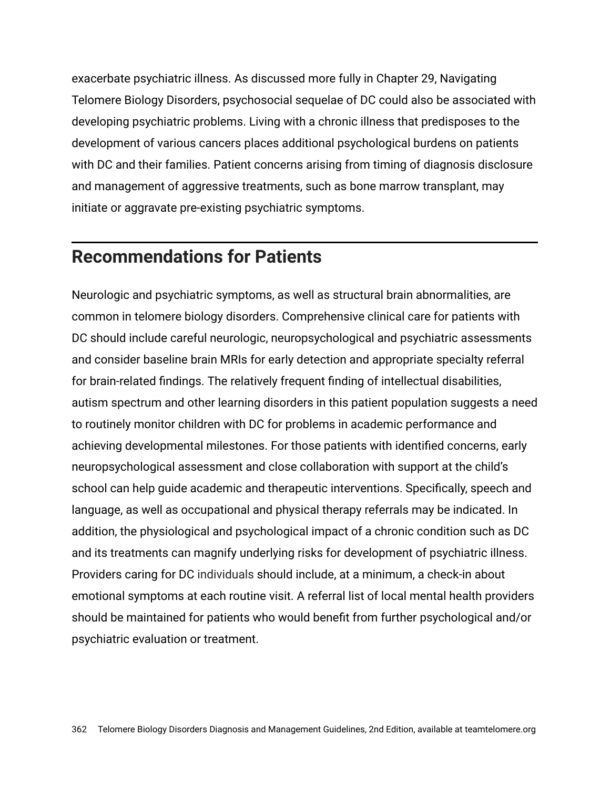exacerbate psychiatric illness. As discussed more fully in Chapter 29, Navigating Telomere Biology Disorders, psychosocial sequelae of DC could also be associated with developing psychiatric problems. Living with a chronic illness that predisposes to the development of various cancers places additional psychological burdens on patients with DC and their families. Patient concerns arising from timing of diagnosis disclosure and management of aggressive treatments, such as bone marrow transplant, may initiate or aggravate pre-existing psychiatric symptoms.

#### **Recommendations for Patients**

Neurologic and psychiatric symptoms, as well as structural brain abnormalities, are common in telomere biology disorders. Comprehensive clinical care for patients with DC should include careful neurologic, neuropsychological and psychiatric assessments and consider baseline brain MRIs for early detection and appropriate specialty referral for brain-related findings. The relatively frequent finding of intellectual disabilities, autism spectrum and other learning disorders in this patient population suggests a need to routinely monitor children with DC for problems in academic performance and achieving developmental milestones. For those patients with identified concerns, early neuropsychological assessment and close collaboration with support at the child's school can help guide academic and therapeutic interventions. Specifically, speech and language, as well as occupational and physical therapy referrals may be indicated. In addition, the physiological and psychological impact of a chronic condition such as DC and its treatments can magnify underlying risks for development of psychiatric illness. Providers caring for DC individuals should include, at a minimum, a check-in about emotional symptoms at each routine visit. A referral list of local mental health providers should be maintained for patients who would benefit from further psychological and/or psychiatric evaluation or treatment.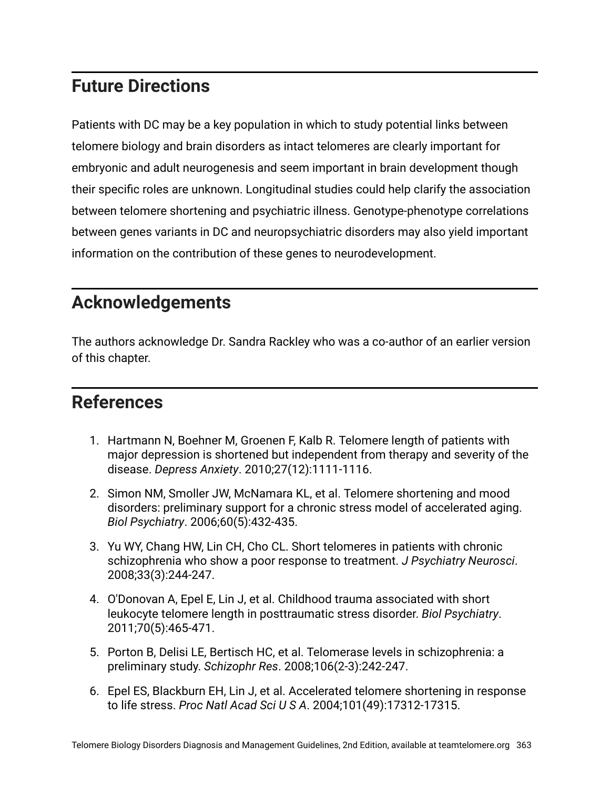### **Future Directions**

Patients with DC may be a key population in which to study potential links between telomere biology and brain disorders as intact telomeres are clearly important for embryonic and adult neurogenesis and seem important in brain development though their specific roles are unknown. Longitudinal studies could help clarify the association between telomere shortening and psychiatric illness. Genotype-phenotype correlations between genes variants in DC and neuropsychiatric disorders may also yield important information on the contribution of these genes to neurodevelopment.

#### **Acknowledgements**

The authors acknowledge Dr. Sandra Rackley who was a co-author of an earlier version of this chapter.

#### **References**

- 1. Hartmann N, Boehner M, Groenen F, Kalb R. Telomere length of patients with major depression is shortened but independent from therapy and severity of the disease. *Depress Anxiety*. 2010;27(12):1111-1116.
- 2. Simon NM, Smoller JW, McNamara KL, et al. Telomere shortening and mood disorders: preliminary support for a chronic stress model of accelerated aging. *Biol Psychiatry*. 2006;60(5):432-435.
- 3. Yu WY, Chang HW, Lin CH, Cho CL. Short telomeres in patients with chronic schizophrenia who show a poor response to treatment. *J Psychiatry Neurosci*. 2008;33(3):244-247.
- 4. O'Donovan A, Epel E, Lin J, et al. Childhood trauma associated with short leukocyte telomere length in posttraumatic stress disorder. *Biol Psychiatry*. 2011;70(5):465-471.
- 5. Porton B, Delisi LE, Bertisch HC, et al. Telomerase levels in schizophrenia: a preliminary study. *Schizophr Res*. 2008;106(2-3):242-247.
- 6. Epel ES, Blackburn EH, Lin J, et al. Accelerated telomere shortening in response to life stress. *Proc Natl Acad Sci U S A*. 2004;101(49):17312-17315.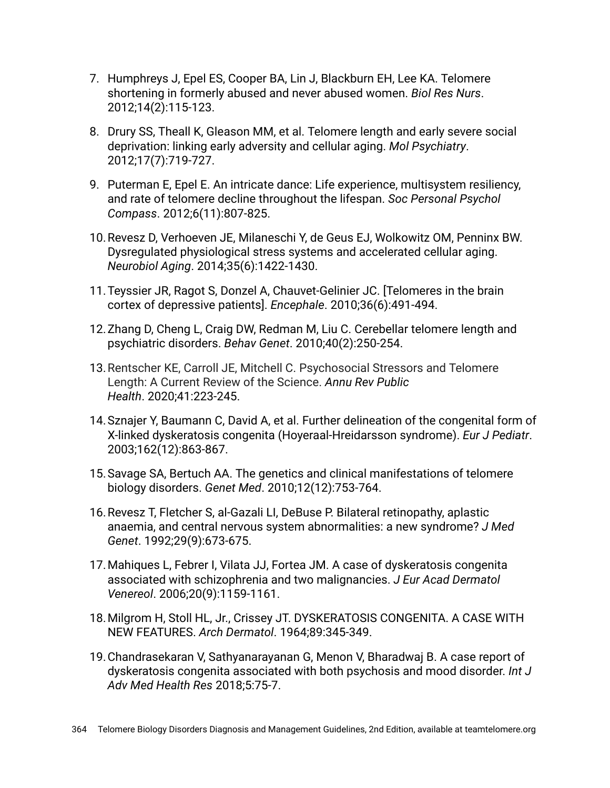- 7. Humphreys J, Epel ES, Cooper BA, Lin J, Blackburn EH, Lee KA. Telomere shortening in formerly abused and never abused women. *Biol Res Nurs*. 2012;14(2):115-123.
- 8. Drury SS, Theall K, Gleason MM, et al. Telomere length and early severe social deprivation: linking early adversity and cellular aging. *Mol Psychiatry*. 2012;17(7):719-727.
- 9. Puterman E, Epel E. An intricate dance: Life experience, multisystem resiliency, and rate of telomere decline throughout the lifespan. *Soc Personal Psychol Compass*. 2012;6(11):807-825.
- 10.Revesz D, Verhoeven JE, Milaneschi Y, de Geus EJ, Wolkowitz OM, Penninx BW. Dysregulated physiological stress systems and accelerated cellular aging. *Neurobiol Aging*. 2014;35(6):1422-1430.
- 11.Teyssier JR, Ragot S, Donzel A, Chauvet-Gelinier JC. [Telomeres in the brain cortex of depressive patients]. *Encephale*. 2010;36(6):491-494.
- 12.Zhang D, Cheng L, Craig DW, Redman M, Liu C. Cerebellar telomere length and psychiatric disorders. *Behav Genet*. 2010;40(2):250-254.
- 13.Rentscher KE, Carroll JE, Mitchell C. Psychosocial Stressors and Telomere Length: A Current Review of the Science. *Annu Rev Public Health*. 2020;41:223-245.
- 14.Sznajer Y, Baumann C, David A, et al. Further delineation of the congenital form of X-linked dyskeratosis congenita (Hoyeraal-Hreidarsson syndrome). *Eur J Pediatr*. 2003;162(12):863-867.
- 15.Savage SA, Bertuch AA. The genetics and clinical manifestations of telomere biology disorders. *Genet Med*. 2010;12(12):753-764.
- 16.Revesz T, Fletcher S, al-Gazali LI, DeBuse P. Bilateral retinopathy, aplastic anaemia, and central nervous system abnormalities: a new syndrome? *J Med Genet*. 1992;29(9):673-675.
- 17.Mahiques L, Febrer I, Vilata JJ, Fortea JM. A case of dyskeratosis congenita associated with schizophrenia and two malignancies. *J Eur Acad Dermatol Venereol*. 2006;20(9):1159-1161.
- 18.Milgrom H, Stoll HL, Jr., Crissey JT. DYSKERATOSIS CONGENITA. A CASE WITH NEW FEATURES. *Arch Dermatol*. 1964;89:345-349.
- 19.Chandrasekaran V, Sathyanarayanan G, Menon V, Bharadwaj B. A case report of dyskeratosis congenita associated with both psychosis and mood disorder. *Int J Adv Med Health Res* 2018;5:75-7.